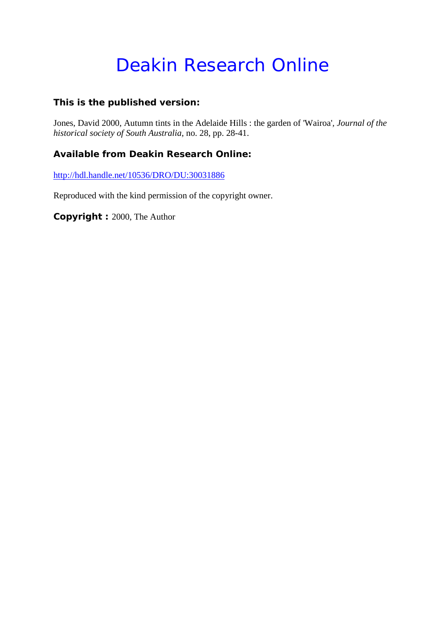# Deakin Research Online

#### **This is the published version:**

Jones, David 2000, Autumn tints in the Adelaide Hills : the garden of 'Wairoa'*, Journal of the historical society of South Australia*, no. 28, pp. 28-41.

#### **Available from Deakin Research Online:**

<http://hdl.handle.net/10536/DRO/DU:30031886>

Reproduced with the kind permission of the copyright owner.

**Copyright :** 2000, The Author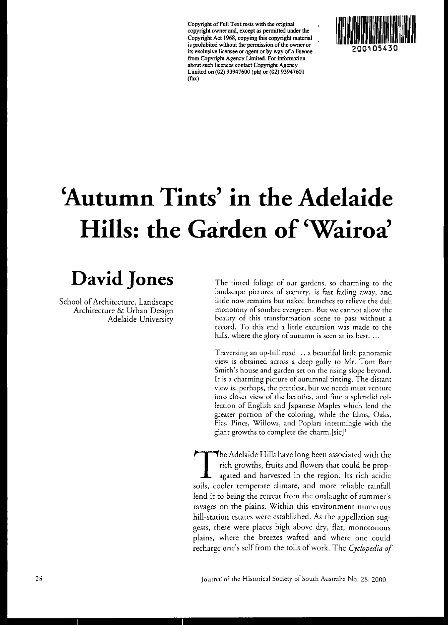**Copyright** of Full **Text rests with the original copyright owner and, except as pennitted under the**  Copyright Act 1968, copying this copyright material **is prohibited without the permission** of the **owner or its exclusive licensee or agent or by way of a licence from Copyright Agency Limited. For infonnation about such licences contact Copyright Agency**  Limited on (02) 93947600 (ph) or (02) 93947601 (fax)



# **Autumn Tints' in the Adelaide Hills: the Garden of 'Wairoa'**

# David Jones

School of Architecture, Landscape Architecture & Urban Design Adelaide University The tinted foliage of our gardens, so charming to the landscape pictures of scenery, is fast fading away, and little now remains but naked branches to relieve the dull **monotony of sombre evergreen. But we cannot allow the beauty of this transformation scene to pass without a record. To this end a little excursion was made to the hills, where the glory of autumn is seen at its best.** ...

Traversing an up-hill road ... a beautiful little panoramic view is obtained across a deep gully to Mr. Tom Barr Smith's house and garden set on the rising slope beyond. **It is a charming picture of autumnal tinting. The distant view is, perhaps, the prettiest, but we needs must venture**  into closer view of the beauries, and find a splendid collection of English and Japanese Maples which lend the **greater portion of the coloring, while the Elms, Oaks,**  Firs, Pines, Willows, and Poplars intermingle with the giant growths to complete the charm. [sic]'

The Adelaide Hills have long been associated with the<br>rich growths, fruits and flowers that could be prop-<br>agated and harvested in the region. Its rich acidic rich growths, fruits and flowers that could be propagated and harvested in the region. Its rich acidic soils, cooler temperate climate, and more reliable rainfall lend it to being the retreat from the onslaught of summer's ravages on the plains. Within this environment numerous hill-station estates were established. As the appellation suggests, these were places high above dry, flat, monotonous plains, where the breezes wafted and where one could recharge one's self from the toils of work. The *Cyclopedia of*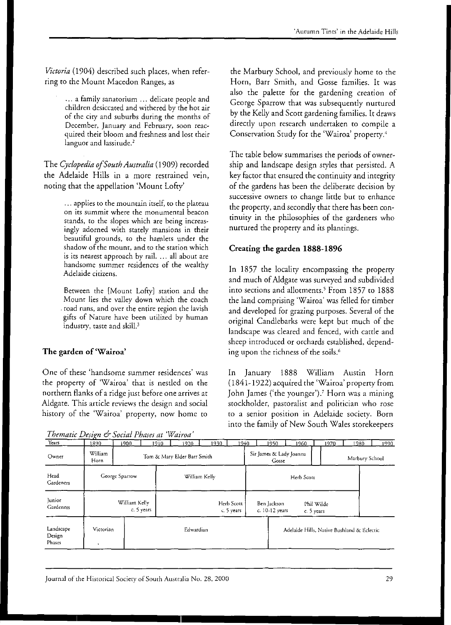*Victoria* (1904) described such places, when referring to the Mount Macedon Ranges, as

> ... a family sanatorium ... delicate people and children desiccated and withered by the hot air of the ciry and suburbs during the months of December, January and February, soon reacquired their bloom and freshness and lost rheir languor and lassitude.<sup>2</sup>

The *Cyclopedia of South Australia* (I909) recorded the Adelaide Hills in a more restrained vein, noting that the appellation 'Mount Lofty'

> ... applies to the mountain itself, to the plateau on its summit where the monumental beacon stands, to the slopes which are being increasingly adorned with stately mansions in their beautiful grounds, to the hamlets under the shadow of the mount, and to the station which is its nearest approach by rail. ... all about are handsome summer residences of the wealthy Adelaide citizens.

Between the [Mount Lofty] srarion and rhe Mount lies rhe valley down which rhe coach . road runs, and over the entire region the lavish gifrs of Narure have been urilized by human industry, taste and skill.<sup>3</sup>

#### The garden of'Wairoa'

One of these 'handsome summer residences' was rhe property of 'Wairoa' that is nestled on the northern flanks of a ridge just before one arrives at Aldgate. This article reviews the design and social history of the 'Wairoa' property, now home to

*Thematic Design of Social Phases at 'Wairoa'* 

the Marbuty School, and previously home to the Horn, Barr Smith, and *Gosse* families. It was also the palette for the gardening creation of George Sparrow that was subsequently nurtured by the Kelly and Scott gardening families. It draws directly upon research undertaken to compile a Conservation Study for the 'Wairoa' property.'

The table below summarises the periods of ownership and landscape design styles that persisted. A key factor that ensured the continuity and integrity of the gardens has been the deliberate decision by successive owners to change little but to enhance the property, and secondly that there has been continuity in the philosophies of the gardeners who nurtured the property and its plantings.

#### Creating the garden 1888-1896

In 1857 the locality encompassing the property and much of Aldgate was surveyed and subdivided into sections and allotments.' From 1857 to 1888 the land comprising 'Wairoa' was felled for timber and developed for grazing purposes. Several of the original Candlebarks were kept but much of the landscape was cleared and fenced, with cattle and sheep introduced or orchards established, depending upon the richness of the soils.<sup>6</sup>

In Januaty 1888 William Austin Horn (1841-1922) acquired the 'Wairoa' property from John James ('the younger').<sup>7</sup> Horn was a mining stockholder, pasroralist and politician who rose to a senior position in Adelaide society. Born into the family of New South Wales storekeepers

| Themant Design C Social Phases at Wallou |                             |           |      |                             |      |      |                                                           |       |      |                |                                            |      |
|------------------------------------------|-----------------------------|-----------|------|-----------------------------|------|------|-----------------------------------------------------------|-------|------|----------------|--------------------------------------------|------|
| Years                                    | 1890                        | 1900.     | 1910 | 1920                        | 1930 | 1940 |                                                           | 1950. | 1960 | 1970           | 1980                                       | 1990 |
| Owner                                    | William<br>Horn             |           |      | Tom & Mary Elder Barr Smith |      |      | Sir James & Lady Joanna<br>Gosse                          |       |      | Marbury School |                                            |      |
| Head<br>Gardeners                        | George Sparrow              |           |      | William Kelly               |      |      | Herb Scott                                                |       |      |                |                                            |      |
| lunior<br>Gardeners                      | William Kelly<br>c. 5 years |           |      | Herb Scott<br>c. 5 years    |      |      | Ben Jackson<br>Phil Wilde<br>c. 10-12 years<br>c. 5 years |       |      |                |                                            |      |
| Landscape<br>Design<br>Phases            | Victorian<br>٠              | Edwardian |      |                             |      |      |                                                           |       |      |                | Adelaide Hills, Native Bushland & Eclectic |      |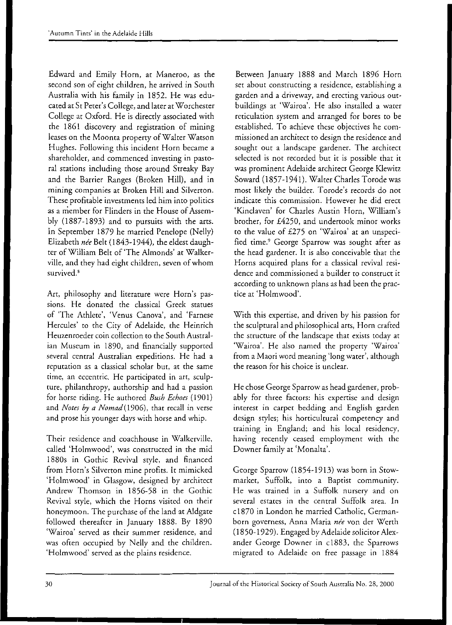Edward and Emily Horn, at Maneroo, as the second son of eight children, he arrived in South Australia with his family in 1852. He was educated at St Peter's College, and later at Worchester College at Oxford. He is directly associated with the 1861 discovery and registration of mining leases on the Moonta properry of Waiter Watson Hughes. Following this incident Horn became a shareholder, and commenced investing in pastoral stations including those around Streaky Bay and the Barrier Ranges (Broken Hill), and in mining companies at Broken Hill and Silverton. These profitable investments led him into politics as a member for Flinders in the House of Assembly (1887-1893) and to pursuits with the arts. In September 1879 he married Penelope (Nelly) Elizabeth *nee* Belt (1843-1944), the eldest daughter ofWilliam Belt of 'The Almonds' at Walkerville, and they had eight children, seven of whom survived.<sup>8</sup>

Art, philosophy and literarure were Horn's passions. He donated the classical Greek statues of 'The Athlete', 'Venus Canova', and 'Farnese Hercules' to the City of Adelaide, the Heinrich Heuzenroeder coin collection to the South Australian Museum in 1890, and financially supported several central Australian expeditions. He had a reputation as a classical scholar but, at the same time, an eccentric. He participated in art, sculpture, philanthropy, authorship and had a passion for horse riding. He authored *Bush Echoes (1901)*  and *Notes by a Nomad* (1906), that recall in verse and prose his younger days with horse and whip.

Their residence and coachhouse in Walkerville, called 'Holmwood', was constructed in the mid 1880s in Gothic Revival sryle, and financed from Horn's Silverton mine profits. It mimicked 'Holmwood' in Glasgow, designed by architect Andrew Thomson in 1856-58 in the Gothic Revival style, which the Horns visited on their honeymoon. The purchase of the land at A1dgate followed thereafter in January 1888. By 1890 'Wairoa' served as their summer residence, and was often occupied by Nelly and the children. 'Holmwood' served as the plains residence.

Between January 1888 and March 1896 Horn set about constructing a residence, establishing a garden and a driveway, and erecting various ourbuildings at 'Wairoa'. He also installed a water reticulation system and arranged for bores to be established. To achieve these objectives he commissioned an architect to design the residence and sought out a landscape gardener. The architect selected is not recorded but it is possible that it was prominent Adelaide architect George Klewitz Soward (1857-1941). Waiter Charles Torode was most likely the builder. Torode's records do not indicate this commission. However he did erect 'Kinclaven' for Charles Austin Horn, William's brother, for £4250, and undertook minor works to the value of £275 on 'Wairoa' at an unspecified time.' George Sparrow was sought after as the head gardener. It is also conceivable that the Horns acquired plans for a classical revival residence and commissioned a builder ro construct it according to unknown plans as had been the practice at 'Holmwood'.

With this expertise, and driven by his passion for the sculptural and philosophical arts, Horn crafted the structure of the landscape that exists today at 'Wairoa'. He also named the property 'Wairoa' from a Maori word meaning 'long water', although the reason for his choice is unclear.

He chose George Sparrow as head gardener, probably for three factors: his expertise and design interest in carpet bedding and English garden design styles; his horticultural competency and training in England; and his local residency, having recently ceased employment with the Downer family at 'Monalta'.

George Sparrow (1854-1913) was born in Stowmarket, Suffolk, into a Baptist community. He was trained in a Suffolk nursery and on several estates in the central Suffolk area. In cl 870 in London he married Catholic, Germanborn governess, Anna Maria née von der Werth (1850-1929). Engaged by Adelaide solicitor Alexander George Downer in cl883, the Sparrows migrated to Adelaide on free passage in 1884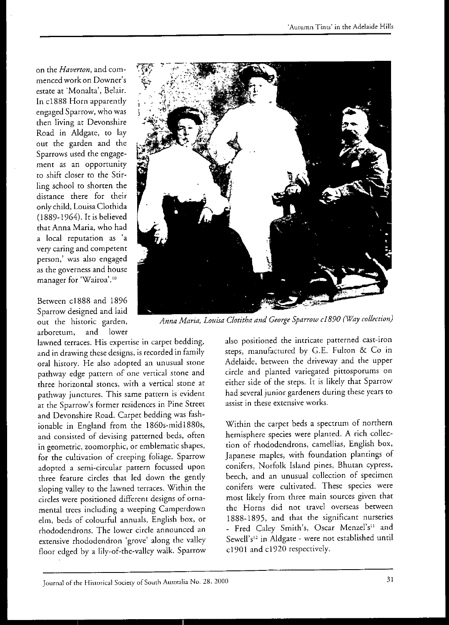on the *Haverton,* and commenced work on Downer's estate at 'Monalta', Belair. In cl888 Horn apparently engaged Sparrow, who was then living at Devonshire Road in Aldgate, to lay out the garden and the Sparrows used the engagement as an opportuniry to shift closer to the Stirling school to shorten the distance there for their only child, Louisa Clothida (1889-1964). It is believed that Anna Maria, who had a local reputation as 'a very caring and competent person,' was also engaged as the governess and house **manager for 'Wairoa' ,10** 

Between cl888 and 1896 Spartow designed and laid out the historic garden, arboretum, and lower

lawned terraces. His expertise in carpet bedding, and in drawing these designs, is recorded in family oral history. He also adopted an unusual stone pathway edge pattern of one vertical stone and three horizontal stones, with a vertical stone at pathway junctures. This same pattern is evident at the Sparrow's former residences in Pine Street and Devonshire Road. Carpet bedding was fashionable in England from the 1860s-midI880s, and consisted of devising patterned beds, often in geometric, zoomorphic, or emblematic shapes, for the cultivation of creeping foliage. Sparrow adopted a semi-circular pattern focussed upon three feature circles that led down the gently sloping valley to the lawned terraces. Within the circles were positioned different designs of ornamental trees including a weeping Camperdown elm, beds of colourful annuals, English box, or rhododendrons. The lower circle announced an extensive rhododendron 'grove' along the valley floor edged by a lily-of-the-valley walk. Sparrow



*Anna Maria, Louisa Clotitha and George Sparrow c 1890 (Way collection)* 

also positioned the intricate patterned cast-iron steps, manufactured by G.E. Fulton & Co in Adelaide, between the driveway and the upper circle and planted variegated pittospotums on either side of the steps. It is likely that Sparrow had several junior gardeners during these years to **assist in these extensive works.** 

Within the carpet beds a spectrum of northern hemisphere species were planted. A rich collection of rhododendrons, camellias, English box, Japanese maples, with foundation plantings of conifers, Norfolk Island pines, Bhutan cypress, beech, and an unusual collection of specimen conifers were cultivated. These species were most likely from three main sources given that the Horns did not travel overseas between 1888-1895, and that the significant nurseries - Fred Caley Smith's, Oscar Menzel's<sup>11</sup> and Sewell's<sup>12</sup> in Aldgate - were not established until cl901 and cl 920 respectively.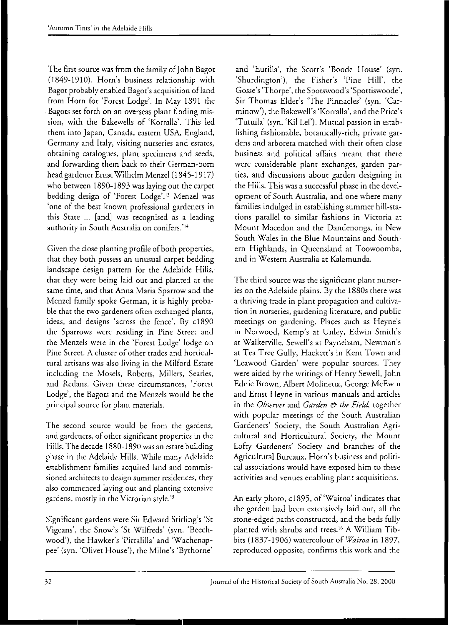The first source was from the family of John Bagot (I849-191O). Horn's business relationship with Bagot probably enabled Bagot's acquisition of land from Horn for 'Forest Lodge'. In May 1891 the . Bagots set forth on an overseas plant finding mission, with the Bakewells of 'Korralla'. This led them into Japan, Canada, eastern USA, England, Germany and Italy, visiting nurseries and estates, obtaining catalogues, plant specimens and seeds, and forwarding them back to their German-born head gardener Ernst Wilhelm Menzel (1845-1917) who between 1890-1893 was laying out the carpet bedding design of 'Forest Lodge'." Menzel was 'one of the best known professional gardeners in this State ... [and] was recognised as a leading authority in South Australia on conifers.'<sup>14</sup>

Given the close planting profile of both properties, that they both possess an unusual carpet bedding landscape design pattern for the Adelaide Hills, that they were being laid out and planted at the same time, and that Anna Maria Spartow and the Menzel family spoke German, it is highly probable that the two gardeners ofren exchanged plants, ideas, and designs 'across the fence'. By cl890 the Sparrows were residing in Pine Street and the Menzels were in the 'Forest Lodge' lodge on Pine Street. A cluster of other trades and horticultural artisans was also living in the Milford Estare including the Mosels, Roberts, Millers, Searles, and Redans. Given these circumstances, 'Forest Lodge', the Bagots and the Menzels would be the principal source for plant materials.

The second source would be from the gardens, and gardeners, of other significant properties in the Hills. The decade 1880-1890 was an esrare building phase in the Adelaide Hills. While many Adelaide establishment families acquired land and commissioned architects to design summer residences, they also commenced laying out and planting extensive gardens, mostly in the Victorian style."

Significant gardens were Sir Edward Stirling's 'St Vigeans', the Snow's 'St Wilfreds' (syn. 'Beechwood'), the Hawker's 'Pirralilla' and 'Wachenappee' (syn. 'Olivet House'), the Milne's 'Byrhorne'

and 'Eurilla', the Scott's 'Boode House' (syn. 'Shurdington'), the Fisher's 'Pine Hill', the Gosse's 'Thorpe', the Spotswood's 'Spottiswoode', Sir Thomas Elder's 'The Pinnacles' (syn. 'Carminow'), the Bakewell's 'Korralla', and the Price's 'Turuila' (syn. 'Kil Lel'). Mutual passion in establishing fashionable, botanically-rich, private gardens and arboreta matched with their often close business and political affairs meant that rhere were considerable plant exchanges, garden parties, and discussions about garden designing in the Hills. This was a successful phase in the development of South Australia, and one where many families indulged in establishing summer hill-stations parallel to similar fashions in Victoria at Mount Macedon and the Dandenongs, in New South Wales in the Blue Mountains and Southern Highlands, in Queensland at Toowoomba, and in Western Australia at Kalamunda.

The third source was the significant plant nurseries on rhe Adelaide plains. By the *1880s* there was a thriving trade in plant propagation and cultiva**tion in nurseries, gardening literature, and public**  meetings on gardening. Places such as Heyne's in Norwood, Kemp's at Unley, Edwin Smith's at Walkerville, Sewell's at Payneham, Newman's at Tea Tree Gully, Hackett's in Kent Town and 'Leawood Garden' were popular sources. They were aided by the writings of Henry Sewell, John Ednie Brown, Albert Molineux, George McEwin and Ernst Heyne in various manuals and articles in the *Observer* and *Garden* & *the Field,* rogether with popular meetings of the South Australian Gardeners' Society, the Sourh Australian Agricultural and Horticultural Society, the Mount Lofty Gardeners' Society and branches of rhe Agricultural Bureaux. Horn's business and political associations would have exposed him to these acrivities and venues enabling plant acquisitions.

An early photo, c1895, of 'Wairoa' indicates that the garden had been exrensively laid out, all the stone-edged paths constructed, and the beds fully planted wirh shrubs and trees. 16 A William Tibbits (1837-1906) watercolour of *Wairoa* in 1897, reproduced opposire, confirms this work and rhe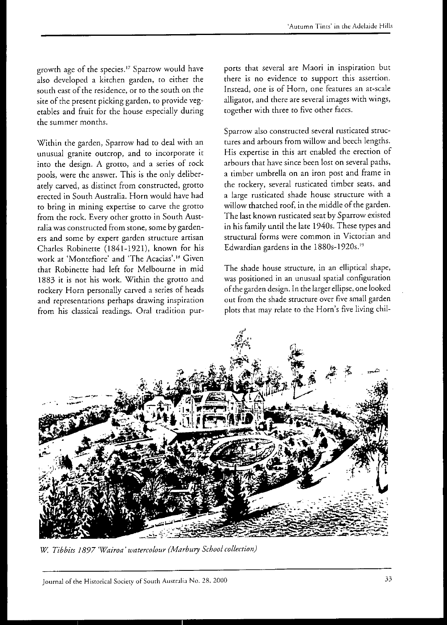growth age of the species." Sparrow would have also developed a kitchen garden, to either the south east of the residence, or ro the south on the site of the present picking garden, ro provide vegetables and fruit for the house especially during the summer months.

Within the garden, Sparrow had to deal with an unusual granite outcrop, and ro incorporate it into the design. A grotto, and a series of rock pools, were the answer. This is the only deliberately carved, as distinct from constructed, grotro erected in South Australia. Horn would have had to bring in mining expertise to carve the grotto from the rock. Every other grotto in South Australia was constructed from stone, some by gardeners and some by expert garden structure artisan Charles Robinette (1841-1921), known for his work at 'Montefiore' and 'The Acacias'.<sup>18</sup> Given that Robinette had left for Melbourne in mid 1883 it is not his work. Within the grotto and rockery Horn personally carved a series of heads and representations perhaps drawing inspiration from his classical readings. Oral tradition purports that several are Maori in inspiration but there is no evidence to support this assertion. Instead, one is of Horn, one features an at-scale alligator, and there are several images with wings, together with three to five other faces.

Sparrow also constructed several rusticated structures and arbours from willow and beech lengths. His expertise in this art enabled the erection of arbours that have since been lost on several paths, a timber umbrella on an iron post and frame in the rockery, several rusticated timber seats, and a large rusticated shade house structure with a willow thatched roof, in the middle of the garden. The last known rusticated seat by Sparrow existed in his family until the late 1940s. These types and structural forms were common in Victorian and Edwardian gardens in the 1880s-1920s."

The shade house structure, in an elliptical shape, was positioned in an unusual spatial configuration of the garden design. In the larger ellipse, one looked out from the shade structure over five small garden plots that may relate to the Horn's five living chil-



*W. Tibbits* 1897 *'Wairoa' watercolour (Marbury School coffection)*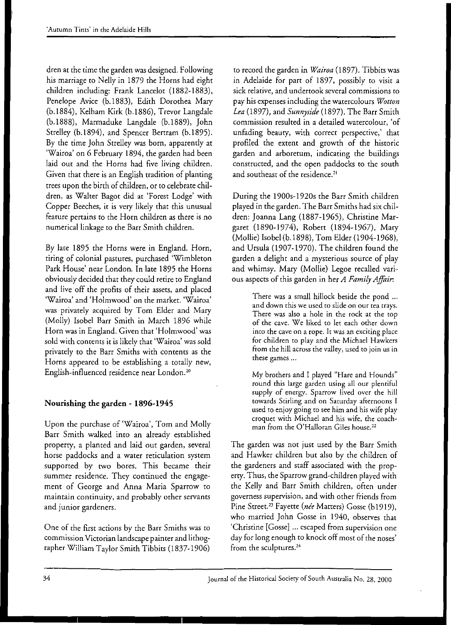dren at the time the garden was designed. Following his marriage to Nelly in 1879 the Horns had eight children including: Frank Lancelot (1882-1883), Penelope Avice (b.1883), Edith Dorothea Mary (b.1884), Kelham Kirk (b.1886), Trevor Langdale (b.1888), Marmaduke Langdale (b.1889), John Strelley (b.1894), and Spencer Bertram (b.1895). By the time John Strelley was born, apparently at 'Wairoa' on 6 February 1894, the garden had been laid out and the Horns had five living children. Given that there is an English tradition of planting trees upon the birth of children, or to celebrate children, as Waiter Bagot did at 'Forest Lodge' with Copper Beeches, it is very likely that this unusual feature pertains to the Horn children as there is no numerical linkage to the Barr Smith children.

By late 1895 the Horns were in England. Horn, tiring of colonial pastures, purchased 'Wimbleton Park House' near London. In late 1895 the Horns obviously decided that they could retire to England and live off the profits of their assets, and placed 'Wairoa' and 'Holmwood' on the market. 'Wairoa' was privately acquired by Tom Elder and Mary (Molly) Isobel Barr Smith in March 1896 while Horn was in England. Given that 'Holmwood' was sold with contents it is likely that 'Wairoa' was sold privately to the Barr Smiths with contents as the Horns appeared to be establishing a totally new, English-influenced residence near London.20

## **Nourishing the garden - 1896-1945**

Upon the purchase of'Wairoa', Tom and Molly Barr Smith walked into an already established properry, a planted and laid out garden, several horse paddocks and a water reticulation system supported by rwo bores. This became their summer residence. They continued the engagement of George and Anna Maria Sparrow to maintain continuiry, and probably other servants and junior gardeners.

One of the first actions by the Barr Smiths was to commission Victorian landscape painter and lithographer William Taylor Smith Tibbits (1837-1906)

to record the garden in *Wairoa* (1897). Tibbits was in Adelaide for part of 1897, possibly to visit a sick relative, and undertook several commissions to pay his expenses including the watercolours *Wotton Lea* (1897), and *Sunnyside* (1897). The Barr Smith commission resulted in a detailed watercolour, 'of unfading beaury, with correct perspective,' that profiled the extent and growth of the historic garden and arboretum, indicating the buildings consttucted, and the open paddocks to the south and southeast of the residence.<sup>21</sup>

During the 1900s-1920s the Barr Smith children played in the garden. The Barr Smiths had six children: Joanna Lang (1887-1965), Christine Margaret (1890-1974), Robert (1894-1967), Mary (Mollie) Isobel (b.1898), Tom Elder (1904-1968), and Ursula (1907-1970). The children found the garden a delight and a mysterious source of play and whimsy. Mary (Mollie) Legoe recalled various aspects of this garden in her *A Family Affoir:* 

> There was a small hillock beside the pond ... and down this we used to slide on our tea trays. There was also a hole in the rock at the top of the cave. We liked to let each other down **into the cave on a rope. It was an exciting place**  for children to play and the Michael Hawkers from the hill across the valley, used to join us in **these games ...**

> My brothers and I played "Hare and Hounds'· round this large garden using all our plenriful supply of energy. Sparrow lived over the hill towards Stirling and on Saturday afternoons I used to enjoy going to see him and his wife play croquet with Michael and his wife, the coachman from the O'Halloran Giles house.<sup>22</sup>

The garden was not just used by the Barr Smith and Hawker children but also by the children of the gardeners and staff associated with the properry. Thus, the Sparrow grand-children played with the Kelly and Barr Smith children, often under governess supervision, and with other friends from Pine Street.<sup>23</sup> Fayette (née Matters) Gosse (b1919), who married John Gosse in 1940, observes that 'Christine [Gosse] ... escaped from supervision one day for long enough ro knock off most of the noses' from the sculptures.<sup>24</sup>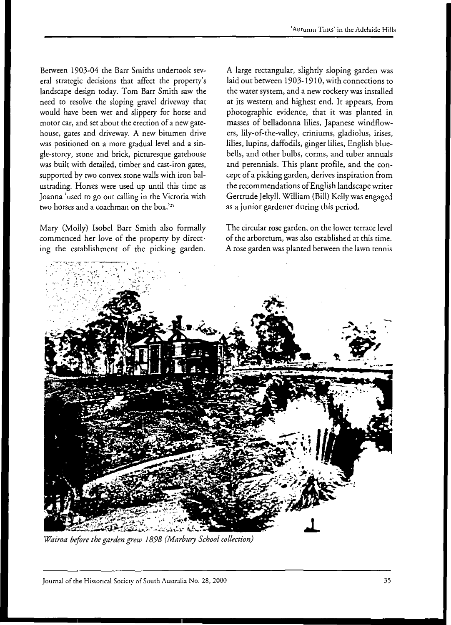Between 1903-04 the Barr Smiths undertook several strategic decisions that affect the property's landscape design today. Tom Barr Smith saw the need to resolve the sloping gravel driveway that would have been wet and slippety for horse and motor car, and set about the erection of a new gatehouse, gates and driveway. A new bitumen drive was positioned on a more gradual level and a single-storey, stone and brick, picturesque gatehouse was built with detailed, timber and cast-iron gates, supported by two convex stone walls with iron balustrading. Horses were used up until this time as Joanna 'used ro go out calling in the Victoria with two horses and a coachman on the box.'<sup>25</sup>

Mary (Molly) Isobel Barr Smith also formally commenced her love of the property by directing the establishment of the picking garden.

A large rectangular, slightly sloping garden was laid out between 1903-1910, with connections to the water system, and a new rockery was installed at its western and highest end. It appears, from photographic evidence, that it was planted in masses of belladonna lilies, Japanese windflowers, lily-of-the-valley, criniums, gladiolus, irises, lilies, lupins, daffodils, ginger lilies, English bluebells, and other bulbs, corms, and tuber annuals and perennials. This plant profile, and the concept of a picking garden, derives inspiration from the recommendations of English landscape writer Gertrude Jekyll. William (Bill) Kelly was engaged as a junior gardener during this period.

The circular rose garden, on the lower terrace level of the arboretum, was also established at this time. A rose garden was planted between the lawn tennis



*Wairoa before the garden grew* 1898 *(Marbury School collection)*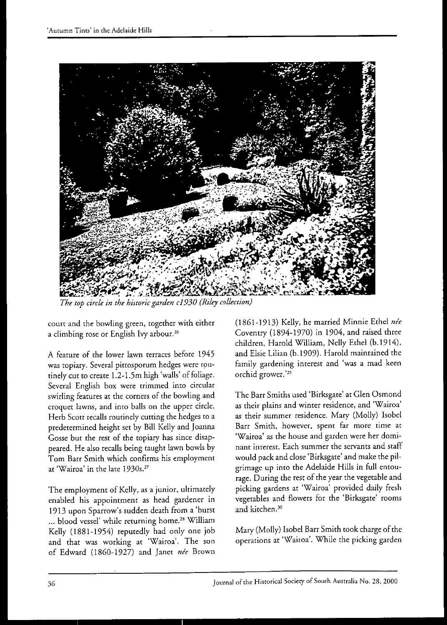

*The top circle* in *the historic garden c 1930 (Riley collection)* 

court and the bowling green, together with either a climbing rose or English Ivy arbour.<sup>26</sup>

A feature of the lower lawn terraces before 1945 was topiary. Several pittosporum hedges were routinely cut to create 1.2-1.5m high 'walls' of foliage. Several English box were trimmed into circular swirling features at the corners of the bowling and croquet lawns, and into balls on the upper circle. Herb Scott recalls routinely cutting the hedges to a predetermined height set by Bill Kelly and Joanna Gosse but the rest of the topiary has since disappeared. He also recalls being taught lawn bowls by Tom Barr Smith which confirms his employment at 'Wairoa' in the late 1930s.27

The employment of Kelly, as a junior, ultimately enabled his appointment as head gardener in 1913 upon Sparrow's sudden death from a 'burst ... blood vessel' while returning home.<sup>28</sup> William Kelly (1881-1954) reputedly had only one job and that was working at 'Wairoa'. The son of Edward (1860-1927) and Janet *née* Brown

(1861-1913) Kelly, he married Minnie Ethel *nee*  Coventry (1894-1970) in 1904, and raised three children, Harold William, Nelly Ethel (b.1914), and Elsie Lilian (b.1909). Harold maintained the family gardening interest and 'was a mad keen orchid grower.'29

The Barr Smiths used 'Birksgate' at Glen Osmond as their plains and winter residence, and 'Wairoa' as their summer residence. Mary (Molly) Isobel Barr Smith, however, spent far more time at 'Wairoa' as the house and garden were her dominant interest. Each summer the servants and staff would pack and close 'Birksgate' and make the pilgrimage up into the Adelaide Hills in full entourage. During the rest of the year the vegetable and picking gardens at 'Wairoa' provided daily fresh vegetables and flowers for the 'Birksgate' rooms and kitchen.<sup>30</sup>

Mary (Molly) Isobel Barr Smith took charge of the operations at 'Wairoa'. While the picking garden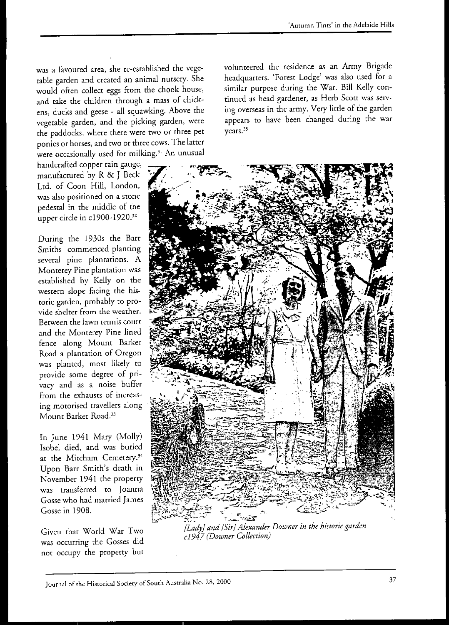was a favoured area, she re-established the vegetable garden and created an animal nursery. She would often collect eggs from the chook house, and take the children through a mass of chickens, ducks and geese - all squawking. Above the vegetable garden, and the picking garden, were the paddocks, where there were two or three pet ponies or horses, and two or three cows. The latter were occasionally used for milking.<sup>31</sup> An unusual

handcrafted copper rain gauge, manufactured by R & J Beck Ltd. of Coon Hill, London, was also positioned on a stone pedestal in the middle of the upper circle in c1900-1920.<sup>32</sup>

During the 1930s the Barr Smiths commenced planting several pine plantations. A Monterey Pine plantation was established by Kelly on the western slope facing the historic garden, probably ro provide shelter from the weather. Between the lawn tennis court and the Monterey Pine lined fence along Mount Barker Road a plantation of Oregon was planted, most likely ro provide some degree of privacy and as a noise buffer from the exhausts of increasing mororised travellers along Mount Barker Road.<sup>33</sup>

In June 1941 Mary (Molly) Isobel died, and was buried at the Mitcham Cemetery.<sup>34</sup> Upon Barr Smith's death in November 1941 the properry was transferred to Joanna Gosse who had married James Gosse in 1908.

Given that World War Two was occurring the Gosses did not occupy the property but volunteered the residence as an Army Brigade headquarters. 'Forest Lodge' was also used for a similar purpose during the War. Bill Kelly continued as head gardener, as Herb Scott was serving overseas in the army. Very little of the garden appears to have been changed during the war years.<sup>35</sup>

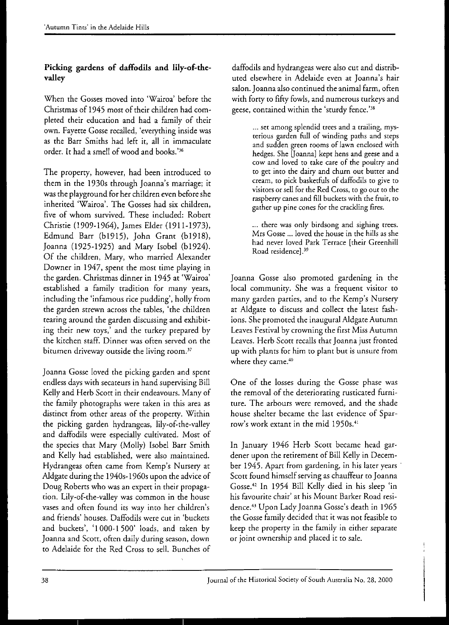## **Picking gardens of daffodils and Iily-of-thevalley**

When the Gosses moved into 'Wairoa' before the Christmas of 1945 most of their children had completed their education and had a family of their own. Fayette Gosse recalled, 'everything inside was as the Barr Smiths had left it, all in immaculate order. It had a smell of wood and books.'<sup>36</sup>

The property, however, had been introduced to them in the 1930s through Joanna's marriage; it was the playground for her children even before she inherited 'Wairoa'. The Gosses had six children, five of whom survived. These included: Robert Christie (1909-1964), James Elder (1911-1973), Edmund Barr (bI915), John Grant (bI918), Joanna (1925-1925) and Mary Isobel (bl924). Of the children, Mary, who married Alexander Downer **in** 1947, spent the most time playing in the garden. Christmas dinner in 1945 at 'Wairoa' established a family tradition for many years, including the 'infamous rice pudding', holly from the garden strewn across the tables, 'the children tearing around the garden discussing and exhibiting their new toys,' and the turkey prepared by the kitchen staff. Dinner was often served on the bitumen driveway outside the living room.<sup>37</sup>

Joanna Gosse loved the picking garden and spent endless days with secateurs in hand supervising Bill Kelly and Herb Scott in their endeavours. Many of the family photographs were taken in this area as distinct from other areas of the properry. Within the picking garden hydrangeas, lily-of-the-valley and daffodils were especially cultivated. Most of the species that Mary (Molly) Isobel Barr Smith and Kelly had established, were also maintained. Hydrangeas often came from Kemp's Nursery at A1dgate during the 1940s-1960s upon the advice of Doug Roberts who was an expert in their propagation. Lily-of-the-valley was common in the house vases and often found its way into her children's and friends' houses. Daffodils were cut in 'buckets and buckets', '1000-1 500' loads, and taken by Joanna and Scott, often daily during season, down to Adelaide fot the Red Cross to sell. Bunches of

daffodils and hydrangeas were also cut and distributed elsewhere in Adelaide even at Joanna's hair salon. Joanna also continued the animal farm, often with forty to fifty fowls, and numerous turkeys and geese, contained within the 'sturdy fence.'38

> ... set among splendid trees and a trailing, mysterious garden full of winding paths and steps and sudden green rooms of lawn enclosed with hedges. She [Joanna] kept hens and geese and a cow and loved to take care of the poultry and to get into the dairy and churn out butter and cream, to pick basketfuls of daffodils to give to visitors or sell for the Red Cross, to go out to the raspberry canes and fill buckets with the fruit, to gather up pine cones for the crackling fires.

> ... there was only birdsong and sighing trees. Mrs Gosse ... loved the house in the hills as she had never loved Park Terrace [their Greenhill Road residence].39

Joanna Gosse also promoted gardening in the local communiry. She was a frequent visitor to many garden parties, and to the Kemp's Nursery at A1dgate to discuss and collect the latest fashions. She promoted the inaugural Aldgate Autumn Leaves Festival by crowning the first Miss Autumn Leaves. Herb Scott recalls that Joanna just fronted up with plants for him to plant but is unsure from where they came.<sup>40</sup>

One of the losses during the Gosse phase was the removal of the deteriorating rusticated furnirure. The arbours were removed, and the shade house shelter became the last evidence of Sparrow's work extant in the mid 1950s.<sup>41</sup>

In January 1946 Herb Scott became head gardener upon the retirement of Bill Kelly in December 1945. Apart from gardening, in his later years· Scott found himself serving as chauffeur to Joanna Gosse." In 1954 Bill Kelly died in his sleep 'in his favourite chair' at his Mount Barker Road residence.<sup>43</sup> Upon Lady Joanna Gosse's death in 1965 the Gosse family decided that it was not feasible to keep the properry in the family in either separate or joint ownership and placed it to sale.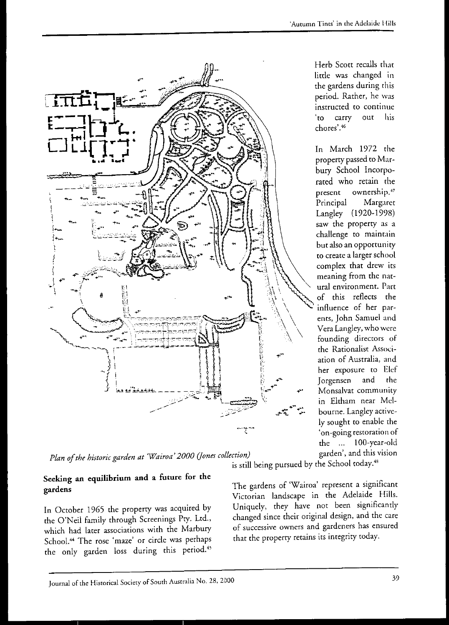

*Plan of the historic garden at 'Wairoa' 2000 (Jones collection) garden'*, and this vision

#### **Seeking an equilibrium and a future for the gardens**

In October 1965 the properry was acquired by the O'Neil family through Screenings Pty. Ltd., which had later associations with the Marbury School.<sup>44</sup> The rose 'maze' or circle was perhaps the only garden loss during this period.<sup>45</sup>

is still being pursued by the School today.<sup>48</sup>

The gardens of 'Wairoa' represent a significant Victorian landscape in the Adelaide Hills. Uniquely, they have not been significantly changed since their original design, and the care of successive owners and gardeners has ensured that the properry retains its integrity today.

Herb Scott recalls that little was changed in the gardens during this period. Rather, he was instructed to continue 'to carry out his **chores'.46** 

In March 1972 the properry passed to Marbury School Incorporated who retain the present ownership.<sup>47</sup> Principal Margaret Langley (1920-1998) saw the property as a challenge to maintain but also an opportunity to create a larger school complex that drew its meaning from the natutal environment. Part of this reflects the influence of her parents, John Samuel and Vera Langley, who were founding directors of the Rationalist Association of Australia, and her exposure to Elef Jorgensen and the Monsalvat community in Eltham near Melbourne. Langley actively sought to enable the 'on-going restoration of the ... 100-year-old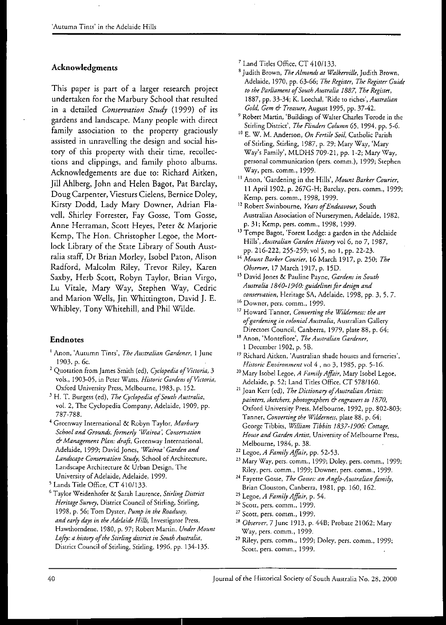### Acknowledgments

This paper is part of a larger research project undertaken for the Marbury School that resulted in a detailed *Conservation Study* (1999) of its gardens and landscape. Many people with direct family association ro the properry graciously assisted in unravelling the design and social history of this properry with their time, recollections and clippings, and family photo albums. Acknowledgements are due to: Richard Aitken, Jill Ahlberg, John and Helen Bagot, Pat Barclay, Doug Carpenter, Viesturs Cielens, Bernice Doley, Kirsry Dodd, Lady Mary Downer, Adrian Flaveil, Shirley Forrester, Fay Gosse, Tom Gosse, Anne Herraman, Scott Heyes, Peter & Marjorie Kemp, The Hon. Christopher Legoe, the Mortlock Library of the State Library of South Australia staff, Or Brian Morley, [sobe! Paton, Alison Radford, Malcolm Riley, Trevor Riley, Karen Saxby, Herb Scott, Robyn Taylor, Brian Virgo, Lu Vitale, Mary Way, Stephen Way, Cedric and Marion Wells, Jin Whittington, David J. E. Whibley, Tony Whitehill, and Phil Wilde.

#### Endnotes

- <sup>1</sup> Anon, 'Autumn Tints', *The Australian Gardener*, 1 June 1903, p. 6c.
- <sup>2</sup> Quotation from James Smith (ed), *Cyclopedia of Victoria*, 3 vols., 1903-05, in Peter Watts, *Historic Gardens of Victoria*, Oxford University Press, Melbourne, 1983, p. 152.
- <sup>3</sup> H. T. Burgess (ed), *The Cyclopedia of South Australia*, vol. 2, The Cyclopedia Company, Adelaide, 1909, pp. 787-788.
- <sup>4</sup> Greenway International & Robyn Taylor, Marbury *School and Grounds, formerly 'Wairoa: Conservation*  & *Management Plan: draft,* Greenway International, Adelaide, 1999; David Jones, *'Wairoa' Garden and*  Landscape Conservation Study, School of Architecture, Landscape Architecture & Urban Design, The University of Adelaide, Adelaide, 1999.
- 5 Lands Title Office, CT 410/133.
- 6 Taylor Weidenhofer & Sarah Laurence, *Stirling District Heritage Survey, District Council of Stirling, Stirling,* 1998, p. 56; Tom Dyster, *Pump in the Roadway.*  and early days in the Adelaide Hills, Investigator Press, Hawthorndene, 1980, p. 97; Robert Martin, *Under Mount*  Lofty: a history of the Stirling district in South Australia, District Council of Stirling, Stirling, 1996, pp. 134-135.

<sup>7</sup> Land Titles Office, CT 410/133.

- 8 Judith Brown, *The Almonds at Walkerville,* Judith Brown, Adelaide, 1970, pp. 63-66; *The Register, The Register Guide to the Parliament of South Australia 1887, The Register,* 1887, pp. 33-34; K. Loechal, 'Ride to tiches', *Australian Gold, Gem* 6- *Treasure,* August 1995, pp. 37-42.
- <sup>9</sup> Robert Martin, 'Buildings of Walter Charles Torode in the Stirling District', *The Flinders Column* 65, 1994, pp. 5-6.
- 10 E. W. M. Andetson, *On Fertile Soil,* Catholic Parish of Stirling, Stirling, 1987, p. 29; Mary Way, 'Mary Way's Family', MLDHS 709-21, pp. 1-2; Mary Way, personal communication (pers. comm.), 1999; Srephen Way, pets. comm., 1999.
- II Anon, 'Gardening in the Hills', *Mount Barker Courier,*  11 April 1902, p. 267G-H; Barclay, pers. comm., 1999; Kemp, pets. comm., 1998, 1999.
- 12 Robert Swinbourne, *Years of Endeavour,* South Australian Association of Nurserymen, Adelaide, 1982, p. 31; Kemp, pers. comm., 1998, 1999.
- <sup>13</sup> Tempe Bagot, 'Forest Lodge: a garden in the Adelaide Hills', *Australian Garden History* vol 6, no 7, 1987, pp. 216-222, 255-259; vol 5, no I, pp. 22-23.
- <sup>14</sup>*Mount Barker Courier,* 16 March 1917, p. 250; *The Observer,* 17 March 1917, p. 15D.
- 15 David Jones & Pauline Payne, *Gardens in South Australia 1840-1940: guidelines for design and conservation,* Heritage SA, Adelaide, 1998, pp. 3, 5, 7.
- 16 Downer, pers. comm., 1999.
- 17 Howard Tanner, *Converting the Wilderness: the art of gardening in colonial Australia,* Australian Gallery Directors Council, Canberra, 1979, plate 88, p. 64;
- 18 Anon, 'Montefiore', *The Australian Gardener,*  1 December 1902, p. 5B.
- <sup>19</sup> Richard Aitken, 'Australian shade houses and ferneries', *Historic Environment* vol 4, no 3, 1985, pp. 5-16.
- 20 Mary Isobel Legoe, *A Family Affiir,* Mary Isobel Legoe, Adelaide, p. 52; Land Titles Office, CT 578/160.
- <sup>21</sup> Joan Kerr (ed), *The Dictionary of Australian Artists: painters, sketchers, photographers* & *engravers to 1870,*  Oxford University Press, Melbourne, 1992, pp. 802-803; Tanner, *Converting the Wilderness,* plate 88, p. 64; George Tibbits, *William Tibbits 1837-1906: Cottage, House and Garden Artist,* University of Melbourne Press, Melbourne, 1984, p. 38.
- 22 Legoe, *A Family Affiir,* pp. 52-53.
- <sup>23</sup> Mary Way, pers. comm., 1999; Doley, pers. comm., 1999; Riley, pers. comm., 1999; Downer, pers. comm., 1999.
- <sup>24</sup> Fayette Gosse, *The Gosses: an Anglo-Australian family*, Brian Clouston, Canberra, 1981, pp. 160, 162.
- 2S Legoe, *A Family Affiir,* p. 54.
- <sup>26</sup> Scott, pers. comm., 1999.
- 27 Scott, pers. comm., 1999.
- *28 Observer,* 7 June 1913, p. 44B; Probate 21062; Mary Way, pets. comm., 1999.
- <sup>29</sup> Riley, pers. comm., 1999; Doley, pers. comm., 1999; Scott, pers. comm., 1999.